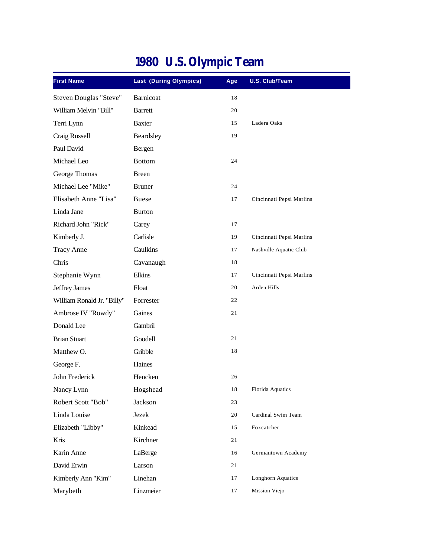| <b>First Name</b>          | <b>Last (During Olympics)</b> | Age    | <b>U.S. Club/Team</b>    |
|----------------------------|-------------------------------|--------|--------------------------|
| Steven Douglas "Steve"     | Barnicoat                     | 18     |                          |
| William Melvin "Bill"      | <b>Barrett</b>                | 20     |                          |
| Terri Lynn                 | <b>Baxter</b>                 | 15     | Ladera Oaks              |
| Craig Russell              | Beardsley                     | 19     |                          |
| Paul David                 | Bergen                        |        |                          |
| Michael Leo                | <b>Bottom</b>                 | 24     |                          |
| George Thomas              | <b>Breen</b>                  |        |                          |
| Michael Lee "Mike"         | <b>Bruner</b>                 | 24     |                          |
| Elisabeth Anne "Lisa"      | <b>Buese</b>                  | 17     | Cincinnati Pepsi Marlins |
| Linda Jane                 | <b>Burton</b>                 |        |                          |
| Richard John "Rick"        | Carey                         | 17     |                          |
| Kimberly J.                | Carlisle                      | 19     | Cincinnati Pepsi Marlins |
| <b>Tracy Anne</b>          | Caulkins                      | 17     | Nashville Aquatic Club   |
| Chris                      | Cavanaugh                     | 18     |                          |
| Stephanie Wynn             | Elkins                        | 17     | Cincinnati Pepsi Marlins |
| Jeffrey James              | Float                         | 20     | Arden Hills              |
| William Ronald Jr. "Billy" | Forrester                     | 22     |                          |
| Ambrose IV "Rowdy"         | Gaines                        | 21     |                          |
| Donald Lee                 | Gambril                       |        |                          |
| <b>Brian Stuart</b>        | Goodell                       | 21     |                          |
| Matthew O.                 | Gribble                       | 18     |                          |
| George F.                  | Haines                        |        |                          |
| John Frederick             | Hencken                       | 26     |                          |
| Nancy Lynn                 | Hogshead                      | $1\,8$ | Florida Aquatics         |
| Robert Scott "Bob"         | Jackson                       | 23     |                          |
| Linda Louise               | Jezek                         | 20     | Cardinal Swim Team       |
| Elizabeth "Libby"          | Kinkead                       | 15     | Foxcatcher               |
| Kris                       | Kirchner                      | 21     |                          |
| Karin Anne                 | LaBerge                       | 16     | Germantown Academy       |
| David Erwin                | Larson                        | 21     |                          |
| Kimberly Ann "Kim"         | Linehan                       | 17     | Longhorn Aquatics        |
| Marybeth                   | Linzmeier                     | 17     | Mission Viejo            |

## **1980 U.S. Olympic Team**